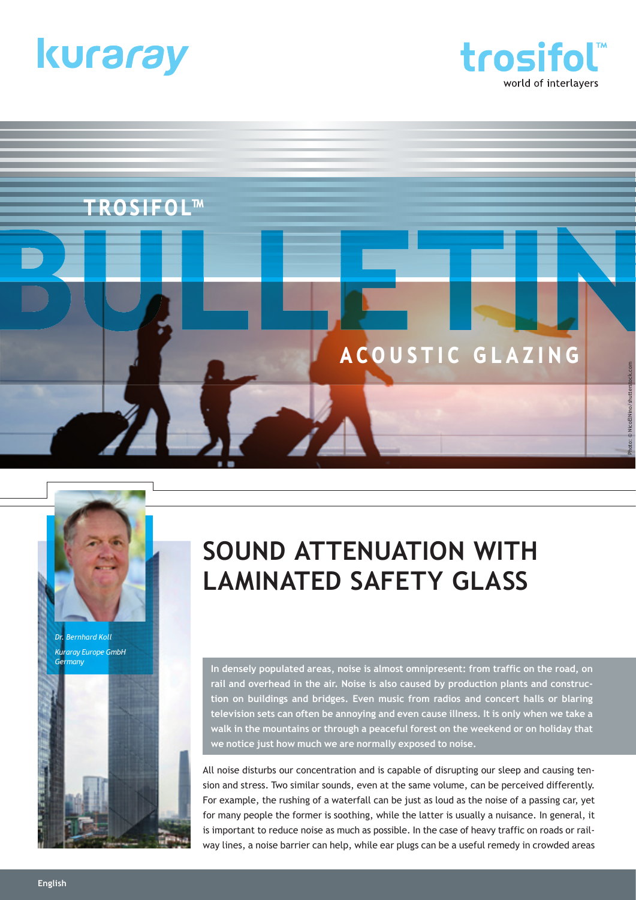





# **SOUND ATTENUATION WITH LAMINATED SAFETY GLASS**

**In densely populated areas, noise is almost omnipresent: from traffic on the road, on rail and overhead in the air. Noise is also caused by production plants and construction on buildings and bridges. Even music from radios and concert halls or blaring television sets can often be annoying and even cause illness. It is only when we take a walk in the mountains or through a peaceful forest on the weekend or on holiday that we notice just how much we are normally exposed to noise.**

All noise disturbs our concentration and is capable of disrupting our sleep and causing tension and stress. Two similar sounds, even at the same volume, can be perceived differently. For example, the rushing of a waterfall can be just as loud as the noise of a passing car, yet for many people the former is soothing, while the latter is usually a nuisance. In general, it is important to reduce noise as much as possible. In the case of heavy traffic on roads or railway lines, a noise barrier can help, while ear plugs can be a useful remedy in crowded areas

*Dr. Bernhard Koll Kuraray Europe GmbH*

*Germany*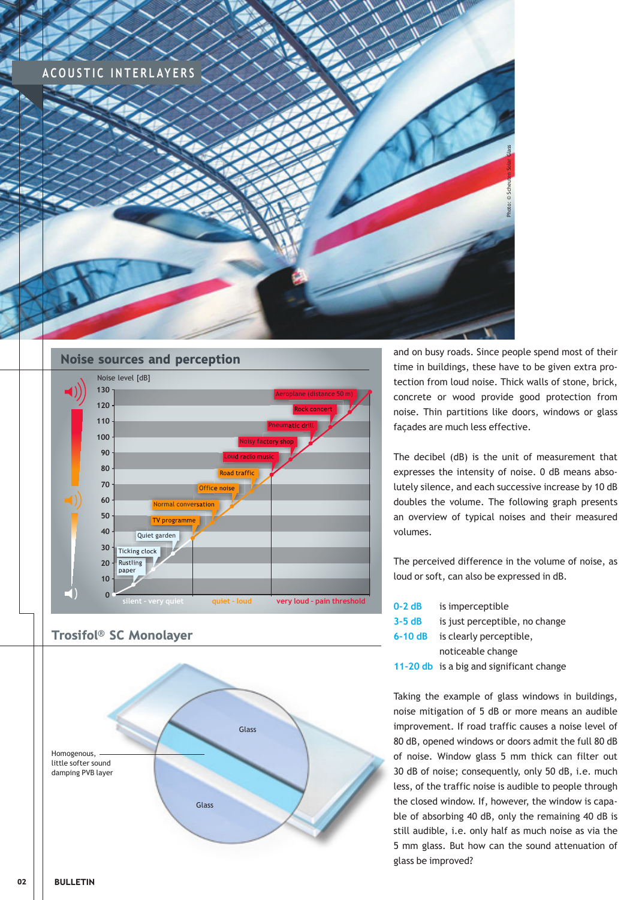



Trosifol® SC Monolayer



and on busy roads. Since people spend most of their time in buildings, these have to be given extra protection from loud noise. Thick walls of stone, brick, concrete or wood provide good protection from noise. Thin partitions like doors, windows or glass façades are much less effective.

The decibel (dB) is the unit of measurement that expresses the intensity of noise. 0 dB means absolutely silence, and each successive increase by 10 dB doubles the volume. The following graph presents an overview of typical noises and their measured volumes.

The perceived difference in the volume of noise, as loud or soft, can also be expressed in dB.

| $0-2$ dB | is imperceptible                         |
|----------|------------------------------------------|
| $3-5dB$  | is just perceptible, no change           |
| $6-10dB$ | is clearly perceptible,                  |
|          | noticeable change                        |
|          | 11-20 db is a big and significant change |

Taking the example of glass windows in buildings, noise mitigation of 5 dB or more means an audible improvement. If road traffic causes a noise level of 80 dB, opened windows or doors admit the full 80 dB of noise. Window glass 5 mm thick can filter out 30 dB of noise; consequently, only 50 dB, i.e. much less, of the traffic noise is audible to people through the closed window. If, however, the window is capable of absorbing 40 dB, only the remaining 40 dB is still audible, i.e. only half as much noise as via the 5 mm glass. But how can the sound attenuation of glass be improved?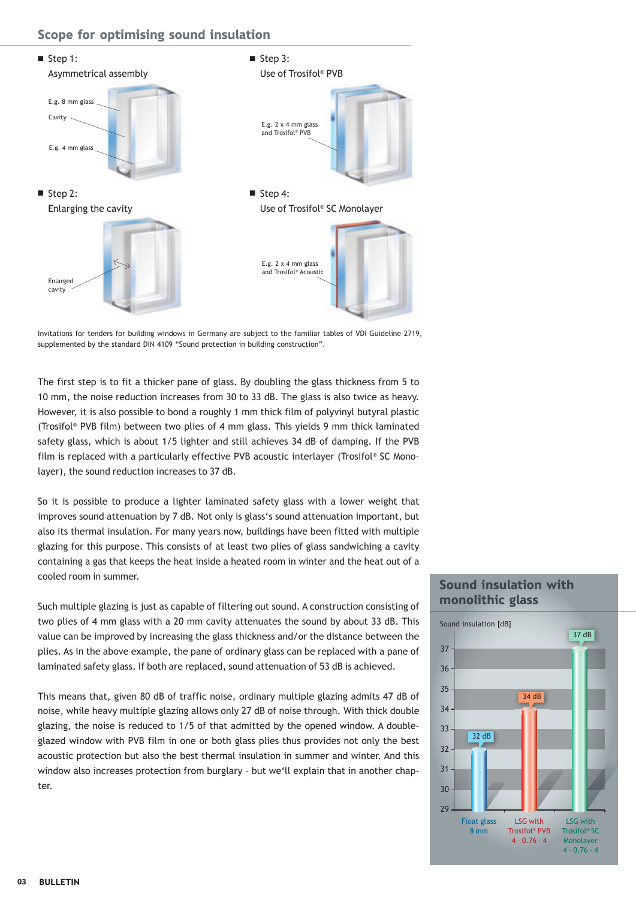### Scope for optimising sound insulation



Invitations for tenders for building windows in Germany are subject to the familiar tables of VDI Guideline 2719, supplemented by the standard DIN 4109 "Sound protection in building construction".

The first step is to fit a thicker pane of glass. By doubling the glass thickness from 5 to 10 mm, the noise reduction increases from 30 to 33 dB. The glass is also twice as heavy. However, it is also possible to bond a roughly 1 mm thick film of polyvinyl butyral plastic (Trosifol® PVB film) between two plies of 4 mm glass. This yields 9 mm thick laminated safety glass, which is about 1/5 lighter and still achieves 34 dB of damping. If the PVB film is replaced with a particularly effective PVB acoustic interlayer (Trosifol® SC Monolayer), the sound reduction increases to 37 dB.

So it is possible to produce a lighter laminated safety glass with a lower weight that improves sound attenuation by 7 dB. Not only is glass's sound attenuation important, but also its thermal insulation. For many years now, buildings have been fitted with multiple glazing for this purpose. This consists of at least two plies of glass sandwiching a cavity containing a gas that keeps the heat inside a heated room in winter and the heat out of a cooled room in summer.

Such multiple glazing is just as capable of filtering out sound. A construction consisting of two plies of 4 mm glass with a 20 mm cavity attenuates the sound by about 33 dB. This value can be improved by increasing the glass thickness and/or the distance between the plies. As in the above example, the pane of ordinary glass can be replaced with a pane of laminated safety glass. If both are replaced, sound attenuation of 53 dB is achieved.

This means that, given 80 dB of traffic noise, ordinary multiple glazing admits 47 dB of noise, while heavy multiple glazing allows only 27 dB of noise through. With thick double glazing, the noise is reduced to 1/5 of that admitted by the opened window. A doubleglazed window with PVB film in one or both glass plies thus provides not only the best acoustic protection but also the best thermal insulation in summer and winter. And this window also increases protection from burglary – but we'll explain that in another chapter.

# Sound insulation with monolithic glass

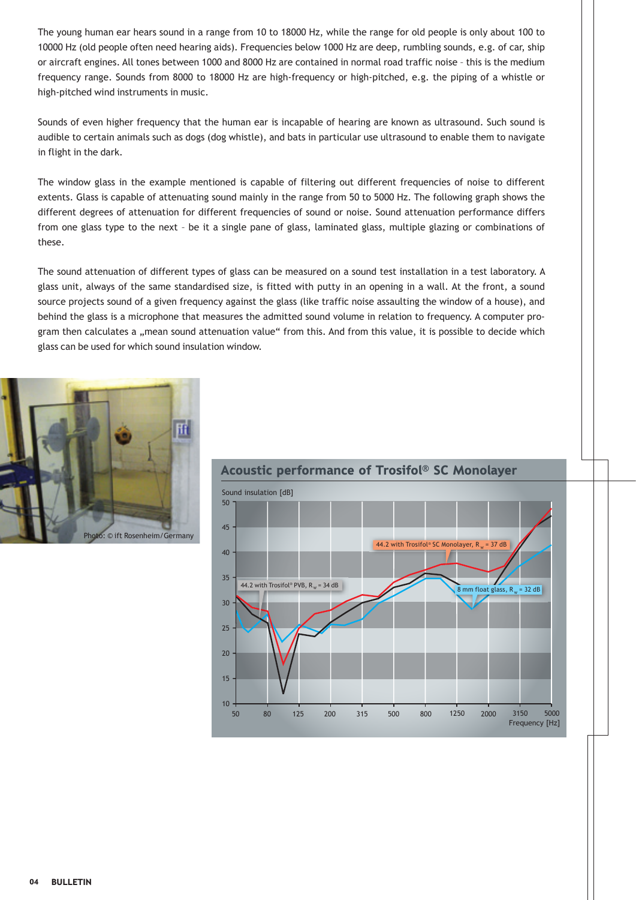The young human ear hears sound in a range from 10 to 18000 Hz, while the range for old people is only about 100 to 10000 Hz (old people often need hearing aids). Frequencies below 1000 Hz are deep, rumbling sounds, e.g. of car, ship or aircraft engines. All tones between 1000 and 8000 Hz are contained in normal road traffic noise – this is the medium frequency range. Sounds from 8000 to 18000 Hz are high-frequency or high-pitched, e.g. the piping of a whistle or high-pitched wind instruments in music.

Sounds of even higher frequency that the human ear is incapable of hearing are known as ultrasound. Such sound is audible to certain animals such as dogs (dog whistle), and bats in particular use ultrasound to enable them to navigate in flight in the dark.

The window glass in the example mentioned is capable of filtering out different frequencies of noise to different extents. Glass is capable of attenuating sound mainly in the range from 50 to 5000 Hz. The following graph shows the different degrees of attenuation for different frequencies of sound or noise. Sound attenuation performance differs from one glass type to the next – be it a single pane of glass, laminated glass, multiple glazing or combinations of these.

The sound attenuation of different types of glass can be measured on a sound test installation in a test laboratory. A glass unit, always of the same standardised size, is fitted with putty in an opening in a wall. At the front, a sound source projects sound of a given frequency against the glass (like traffic noise assaulting the window of a house), and behind the glass is a microphone that measures the admitted sound volume in relation to frequency. A computer program then calculates a "mean sound attenuation value" from this. And from this value, it is possible to decide which glass can be used for which sound insulation window.





## Acoustic performance of Trosifol® SC Monolayer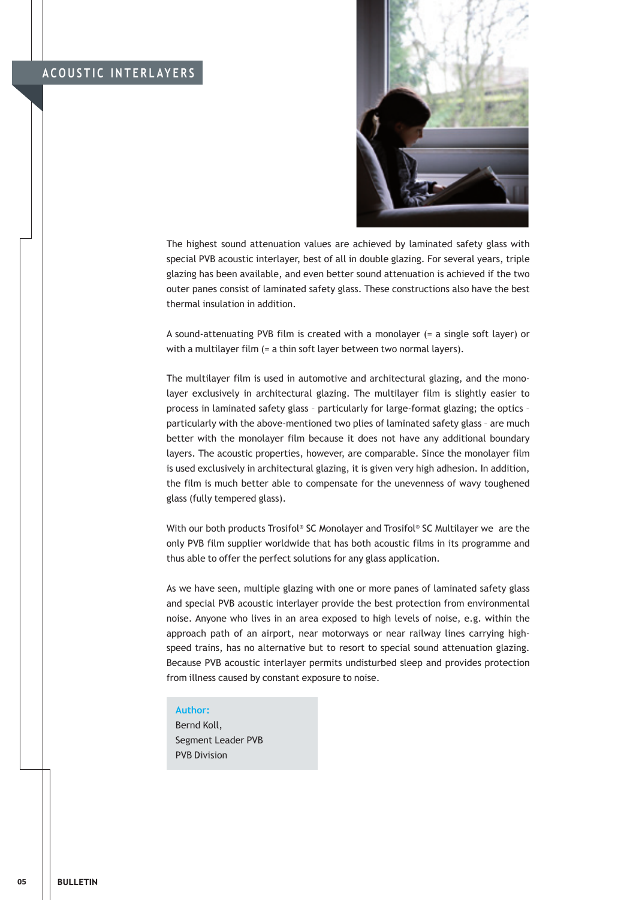

The highest sound attenuation values are achieved by laminated safety glass with special PVB acoustic interlayer, best of all in double glazing. For several years, triple glazing has been available, and even better sound attenuation is achieved if the two outer panes consist of laminated safety glass. These constructions also have the best thermal insulation in addition.

A sound-attenuating PVB film is created with a monolayer (= a single soft layer) or with a multilayer film (= a thin soft layer between two normal layers).

The multilayer film is used in automotive and architectural glazing, and the monolayer exclusively in architectural glazing. The multilayer film is slightly easier to process in laminated safety glass – particularly for large-format glazing; the optics – particularly with the above-mentioned two plies of laminated safety glass – are much better with the monolayer film because it does not have any additional boundary layers. The acoustic properties, however, are comparable. Since the monolayer film is used exclusively in architectural glazing, it is given very high adhesion. In addition, the film is much better able to compensate for the unevenness of wavy toughened glass (fully tempered glass).

With our both products Trosifol® SC Monolayer and Trosifol® SC Multilayer we are the only PVB film supplier worldwide that has both acoustic films in its programme and thus able to offer the perfect solutions for any glass application.

As we have seen, multiple glazing with one or more panes of laminated safety glass and special PVB acoustic interlayer provide the best protection from environmental noise. Anyone who lives in an area exposed to high levels of noise, e.g. within the approach path of an airport, near motorways or near railway lines carrying highspeed trains, has no alternative but to resort to special sound attenuation glazing. Because PVB acoustic interlayer permits undisturbed sleep and provides protection from illness caused by constant exposure to noise.

#### **Author:**

Bernd Koll, Segment Leader PVB PVB Division